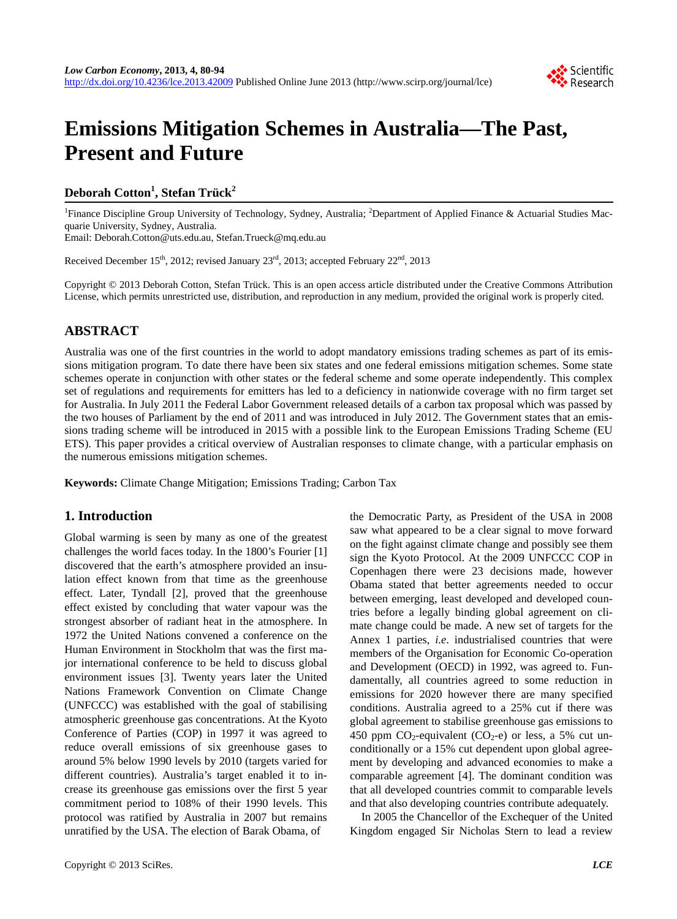

# **Emissions Mitigation Schemes in Australia—The Past, Present and Future**

# **Deborah Cotton<sup>1</sup> , Stefan Trück<sup>2</sup>**

<sup>1</sup> Finance Discipline Group University of Technology, Sydney, Australia; <sup>2</sup>Department of Applied Finance & Actuarial Studies Macquarie University, Sydney, Australia.

Email: Deborah.Cotton@uts.edu.au, Stefan.Trueck@mq.edu.au

Received December 15<sup>th</sup>, 2012; revised January 23<sup>rd</sup>, 2013; accepted February 22<sup>nd</sup>, 2013

Copyright © 2013 Deborah Cotton, Stefan Trück. This is an open access article distributed under the Creative Commons Attribution License, which permits unrestricted use, distribution, and reproduction in any medium, provided the original work is properly cited.

# **ABSTRACT**

Australia was one of the first countries in the world to adopt mandatory emissions trading schemes as part of its emissions mitigation program. To date there have been six states and one federal emissions mitigation schemes. Some state schemes operate in conjunction with other states or the federal scheme and some operate independently. This complex set of regulations and requirements for emitters has led to a deficiency in nationwide coverage with no firm target set for Australia. In July 2011 the Federal Labor Government released details of a carbon tax proposal which was passed by the two houses of Parliament by the end of 2011 and was introduced in July 2012. The Government states that an emissions trading scheme will be introduced in 2015 with a possible link to the European Emissions Trading Scheme (EU ETS). This paper provides a critical overview of Australian responses to climate change, with a particular emphasis on the numerous emissions mitigation schemes.

**Keywords:** Climate Change Mitigation; Emissions Trading; Carbon Tax

## **1. Introduction**

Global warming is seen by many as one of the greatest challenges the world faces today. In the 1800's Fourier [1] discovered that the earth's atmosphere provided an insulation effect known from that time as the greenhouse effect. Later, Tyndall [2], proved that the greenhouse effect existed by concluding that water vapour was the strongest absorber of radiant heat in the atmosphere. In 1972 the United Nations convened a conference on the Human Environment in Stockholm that was the first major international conference to be held to discuss global environment issues [3]. Twenty years later the United Nations Framework Convention on Climate Change (UNFCCC) was established with the goal of stabilising atmospheric greenhouse gas concentrations. At the Kyoto Conference of Parties (COP) in 1997 it was agreed to reduce overall emissions of six greenhouse gases to around 5% below 1990 levels by 2010 (targets varied for different countries). Australia's target enabled it to increase its greenhouse gas emissions over the first 5 year commitment period to 108% of their 1990 levels. This protocol was ratified by Australia in 2007 but remains unratified by the USA. The election of Barak Obama, of

the Democratic Party, as President of the USA in 2008 saw what appeared to be a clear signal to move forward on the fight against climate change and possibly see them sign the Kyoto Protocol. At the 2009 UNFCCC COP in Copenhagen there were 23 decisions made, however Obama stated that better agreements needed to occur between emerging, least developed and developed countries before a legally binding global agreement on climate change could be made. A new set of targets for the Annex 1 parties, *i.e*. industrialised countries that were members of the Organisation for Economic Co-operation and Development (OECD) in 1992, was agreed to. Fundamentally, all countries agreed to some reduction in emissions for 2020 however there are many specified conditions. Australia agreed to a 25% cut if there was global agreement to stabilise greenhouse gas emissions to 450 ppm  $CO_2$ -equivalent (CO<sub>2</sub>-e) or less, a 5% cut unconditionally or a 15% cut dependent upon global agreement by developing and advanced economies to make a comparable agreement [4]. The dominant condition was that all developed countries commit to comparable levels and that also developing countries contribute adequately.

In 2005 the Chancellor of the Exchequer of the United Kingdom engaged Sir Nicholas Stern to lead a review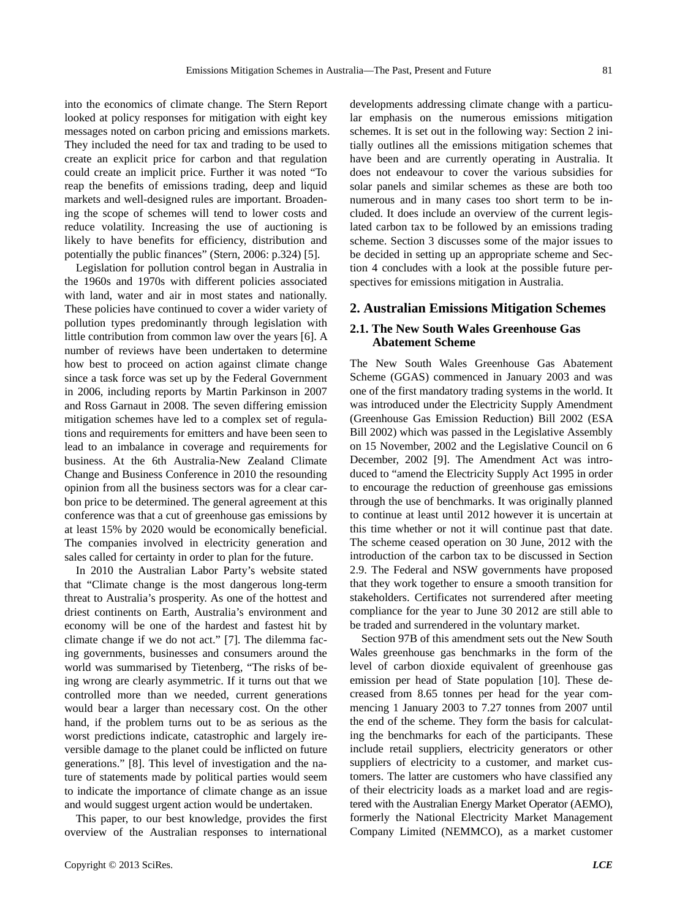into the economics of climate change. The Stern Report looked at policy responses for mitigation with eight key messages noted on carbon pricing and emissions markets. They included the need for tax and trading to be used to create an explicit price for carbon and that regulation could create an implicit price. Further it was noted "To reap the benefits of emissions trading, deep and liquid markets and well-designed rules are important. Broadening the scope of schemes will tend to lower costs and reduce volatility. Increasing the use of auctioning is likely to have benefits for efficiency, distribution and potentially the public finances" (Stern, 2006: p.324) [5].

Legislation for pollution control began in Australia in the 1960s and 1970s with different policies associated with land, water and air in most states and nationally. These policies have continued to cover a wider variety of pollution types predominantly through legislation with little contribution from common law over the years [6]. A number of reviews have been undertaken to determine how best to proceed on action against climate change since a task force was set up by the Federal Government in 2006, including reports by Martin Parkinson in 2007 and Ross Garnaut in 2008. The seven differing emission mitigation schemes have led to a complex set of regulations and requirements for emitters and have been seen to lead to an imbalance in coverage and requirements for business. At the 6th Australia-New Zealand Climate Change and Business Conference in 2010 the resounding opinion from all the business sectors was for a clear carbon price to be determined. The general agreement at this conference was that a cut of greenhouse gas emissions by at least 15% by 2020 would be economically beneficial. The companies involved in electricity generation and sales called for certainty in order to plan for the future.

In 2010 the Australian Labor Party's website stated that "Climate change is the most dangerous long-term threat to Australia's prosperity. As one of the hottest and driest continents on Earth, Australia's environment and economy will be one of the hardest and fastest hit by climate change if we do not act." [7]. The dilemma facing governments, businesses and consumers around the world was summarised by Tietenberg, "The risks of being wrong are clearly asymmetric. If it turns out that we controlled more than we needed, current generations would bear a larger than necessary cost. On the other hand, if the problem turns out to be as serious as the worst predictions indicate, catastrophic and largely ireversible damage to the planet could be inflicted on future generations." [8]. This level of investigation and the nature of statements made by political parties would seem to indicate the importance of climate change as an issue and would suggest urgent action would be undertaken.

This paper, to our best knowledge, provides the first overview of the Australian responses to international

developments addressing climate change with a particular emphasis on the numerous emissions mitigation schemes. It is set out in the following way: Section 2 initially outlines all the emissions mitigation schemes that have been and are currently operating in Australia. It does not endeavour to cover the various subsidies for solar panels and similar schemes as these are both too numerous and in many cases too short term to be included. It does include an overview of the current legislated carbon tax to be followed by an emissions trading scheme. Section 3 discusses some of the major issues to be decided in setting up an appropriate scheme and Section 4 concludes with a look at the possible future perspectives for emissions mitigation in Australia.

#### **2. Australian Emissions Mitigation Schemes**

## **2.1. The New South Wales Greenhouse Gas Abatement Scheme**

The New South Wales Greenhouse Gas Abatement Scheme (GGAS) commenced in January 2003 and was one of the first mandatory trading systems in the world. It was introduced under the Electricity Supply Amendment (Greenhouse Gas Emission Reduction) Bill 2002 (ESA Bill 2002) which was passed in the Legislative Assembly on 15 November, 2002 and the Legislative Council on 6 December, 2002 [9]. The Amendment Act was introduced to "amend the Electricity Supply Act 1995 in order to encourage the reduction of greenhouse gas emissions through the use of benchmarks. It was originally planned to continue at least until 2012 however it is uncertain at this time whether or not it will continue past that date. The scheme ceased operation on 30 June, 2012 with the introduction of the carbon tax to be discussed in Section 2.9. The Federal and NSW governments have proposed that they work together to ensure a smooth transition for stakeholders. Certificates not surrendered after meeting compliance for the year to June 30 2012 are still able to be traded and surrendered in the voluntary market.

Section 97B of this amendment sets out the New South Wales greenhouse gas benchmarks in the form of the level of carbon dioxide equivalent of greenhouse gas emission per head of State population [10]. These decreased from 8.65 tonnes per head for the year commencing 1 January 2003 to 7.27 tonnes from 2007 until the end of the scheme. They form the basis for calculating the benchmarks for each of the participants. These include retail suppliers, electricity generators or other suppliers of electricity to a customer, and market customers. The latter are customers who have classified any of their electricity loads as a market load and are registered with the Australian Energy Market Operator (AEMO), formerly the National Electricity Market Management Company Limited (NEMMCO), as a market customer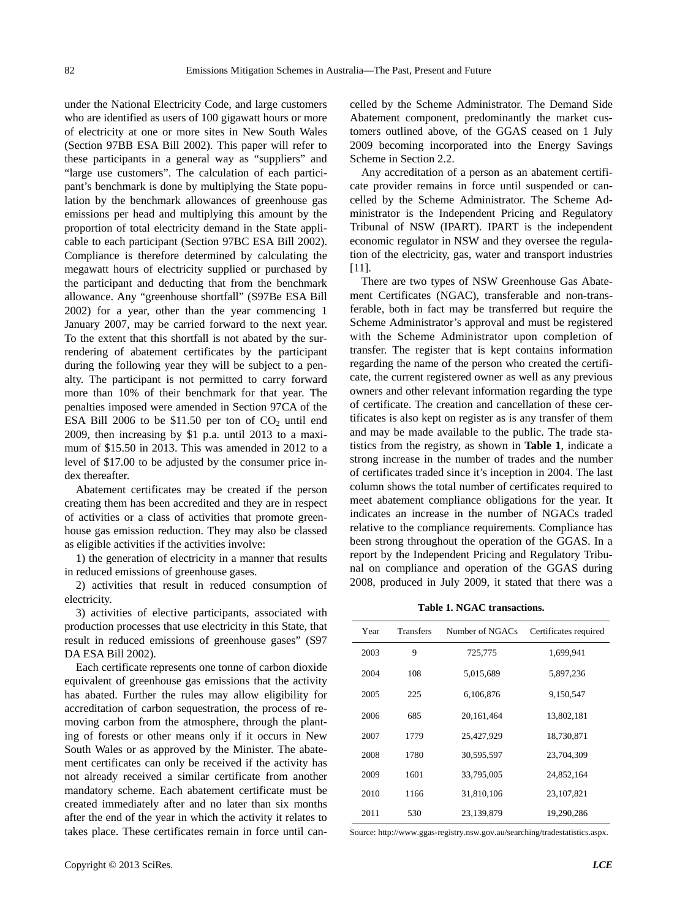under the National Electricity Code, and large customers who are identified as users of 100 gigawatt hours or more of electricity at one or more sites in New South Wales (Section 97BB ESA Bill 2002). This paper will refer to these participants in a general way as "suppliers" and "large use customers". The calculation of each participant's benchmark is done by multiplying the State population by the benchmark allowances of greenhouse gas emissions per head and multiplying this amount by the proportion of total electricity demand in the State applicable to each participant (Section 97BC ESA Bill 2002). Compliance is therefore determined by calculating the megawatt hours of electricity supplied or purchased by the participant and deducting that from the benchmark allowance. Any "greenhouse shortfall" (S97Be ESA Bill 2002) for a year, other than the year commencing 1 January 2007, may be carried forward to the next year. To the extent that this shortfall is not abated by the surrendering of abatement certificates by the participant during the following year they will be subject to a penalty. The participant is not permitted to carry forward more than 10% of their benchmark for that year. The penalties imposed were amended in Section 97CA of the ESA Bill 2006 to be \$11.50 per ton of  $CO<sub>2</sub>$  until end 2009, then increasing by \$1 p.a. until 2013 to a maximum of \$15.50 in 2013. This was amended in 2012 to a level of \$17.00 to be adjusted by the consumer price index thereafter.

Abatement certificates may be created if the person creating them has been accredited and they are in respect of activities or a class of activities that promote greenhouse gas emission reduction. They may also be classed as eligible activities if the activities involve:

1) the generation of electricity in a manner that results in reduced emissions of greenhouse gases.

2) activities that result in reduced consumption of electricity.

3) activities of elective participants, associated with production processes that use electricity in this State, that result in reduced emissions of greenhouse gases" (S97 DA ESA Bill 2002).

Each certificate represents one tonne of carbon dioxide equivalent of greenhouse gas emissions that the activity has abated. Further the rules may allow eligibility for accreditation of carbon sequestration, the process of removing carbon from the atmosphere, through the planting of forests or other means only if it occurs in New South Wales or as approved by the Minister. The abatement certificates can only be received if the activity has not already received a similar certificate from another mandatory scheme. Each abatement certificate must be created immediately after and no later than six months after the end of the year in which the activity it relates to takes place. These certificates remain in force until cancelled by the Scheme Administrator. The Demand Side Abatement component, predominantly the market customers outlined above, of the GGAS ceased on 1 July 2009 becoming incorporated into the Energy Savings Scheme in Section 2.2.

Any accreditation of a person as an abatement certificate provider remains in force until suspended or cancelled by the Scheme Administrator. The Scheme Administrator is the Independent Pricing and Regulatory Tribunal of NSW (IPART). IPART is the independent economic regulator in NSW and they oversee the regulation of the electricity, gas, water and transport industries [11].

There are two types of NSW Greenhouse Gas Abatement Certificates (NGAC), transferable and non-transferable, both in fact may be transferred but require the Scheme Administrator's approval and must be registered with the Scheme Administrator upon completion of transfer. The register that is kept contains information regarding the name of the person who created the certificate, the current registered owner as well as any previous owners and other relevant information regarding the type of certificate. The creation and cancellation of these certificates is also kept on register as is any transfer of them and may be made available to the public. The trade statistics from the registry, as shown in **Table 1**, indicate a strong increase in the number of trades and the number of certificates traded since it's inception in 2004. The last column shows the total number of certificates required to meet abatement compliance obligations for the year. It indicates an increase in the number of NGACs traded relative to the compliance requirements. Compliance has been strong throughout the operation of the GGAS. In a report by the Independent Pricing and Regulatory Tribunal on compliance and operation of the GGAS during 2008, produced in July 2009, it stated that there was a

**Table 1. NGAC transactions.**

| Year | <b>Transfers</b> | Number of NGACs | Certificates required |
|------|------------------|-----------------|-----------------------|
| 2003 | 9                | 725,775         | 1,699,941             |
| 2004 | 108              | 5,015,689       | 5,897,236             |
| 2005 | 225              | 6,106,876       | 9,150,547             |
| 2006 | 685              | 20,161,464      | 13,802,181            |
| 2007 | 1779             | 25,427,929      | 18,730,871            |
| 2008 | 1780             | 30,595,597      | 23,704,309            |
| 2009 | 1601             | 33,795,005      | 24,852,164            |
| 2010 | 1166             | 31.810.106      | 23, 107, 821          |
| 2011 | 530              | 23.139.879      | 19.290.286            |

Source: http://www.ggas-registry.nsw.gov.au/searching/tradestatistics.aspx.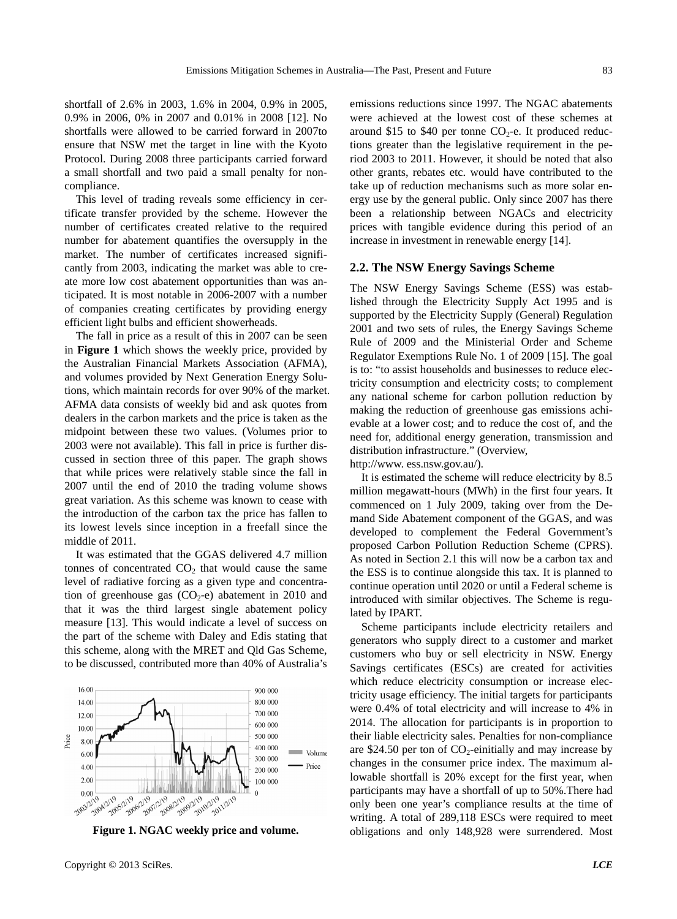shortfall of 2.6% in 2003, 1.6% in 2004, 0.9% in 2005, 0.9% in 2006, 0% in 2007 and 0.01% in 2008 [12]. No shortfalls were allowed to be carried forward in 2007to ensure that NSW met the target in line with the Kyoto Protocol. During 2008 three participants carried forward a small shortfall and two paid a small penalty for noncompliance.

This level of trading reveals some efficiency in certificate transfer provided by the scheme. However the number of certificates created relative to the required number for abatement quantifies the oversupply in the market. The number of certificates increased significantly from 2003, indicating the market was able to create more low cost abatement opportunities than was anticipated. It is most notable in 2006-2007 with a number of companies creating certificates by providing energy efficient light bulbs and efficient showerheads.

The fall in price as a result of this in 2007 can be seen in **Figure 1** which shows the weekly price, provided by the Australian Financial Markets Association (AFMA), and volumes provided by Next Generation Energy Solutions, which maintain records for over 90% of the market. AFMA data consists of weekly bid and ask quotes from dealers in the carbon markets and the price is taken as the midpoint between these two values. (Volumes prior to 2003 were not available). This fall in price is further discussed in section three of this paper. The graph shows that while prices were relatively stable since the fall in 2007 until the end of 2010 the trading volume shows great variation. As this scheme was known to cease with the introduction of the carbon tax the price has fallen to its lowest levels since inception in a freefall since the middle of 2011.

It was estimated that the GGAS delivered 4.7 million tonnes of concentrated  $CO<sub>2</sub>$  that would cause the same level of radiative forcing as a given type and concentration of greenhouse gas  $(CO<sub>2</sub>-e)$  abatement in 2010 and that it was the third largest single abatement policy measure [13]. This would indicate a level of success on the part of the scheme with Daley and Edis stating that this scheme, along with the MRET and Qld Gas Scheme, to be discussed, contributed more than 40% of Australia's



**Figure 1. NGAC weekly price and volume.** 

emissions reductions since 1997. The NGAC abatements were achieved at the lowest cost of these schemes at around \$15 to \$40 per tonne  $CO<sub>2</sub>$ -e. It produced reductions greater than the legislative requirement in the period 2003 to 2011. However, it should be noted that also other grants, rebates etc. would have contributed to the take up of reduction mechanisms such as more solar energy use by the general public. Only since 2007 has there been a relationship between NGACs and electricity prices with tangible evidence during this period of an increase in investment in renewable energy [14].

#### **2.2. The NSW Energy Savings Scheme**

The NSW Energy Savings Scheme (ESS) was established through the Electricity Supply Act 1995 and is supported by the Electricity Supply (General) Regulation 2001 and two sets of rules, the Energy Savings Scheme Rule of 2009 and the Ministerial Order and Scheme Regulator Exemptions Rule No. 1 of 2009 [15]. The goal is to: "to assist households and businesses to reduce electricity consumption and electricity costs; to complement any national scheme for carbon pollution reduction by making the reduction of greenhouse gas emissions achievable at a lower cost; and to reduce the cost of, and the need for, additional energy generation, transmission and distribution infrastructure." (Overview,

http://www. ess.nsw.gov.au/).

It is estimated the scheme will reduce electricity by 8.5 million megawatt-hours (MWh) in the first four years. It commenced on 1 July 2009, taking over from the Demand Side Abatement component of the GGAS, and was developed to complement the Federal Government's proposed Carbon Pollution Reduction Scheme (CPRS). As noted in Section 2.1 this will now be a carbon tax and the ESS is to continue alongside this tax. It is planned to continue operation until 2020 or until a Federal scheme is introduced with similar objectives. The Scheme is regulated by IPART.

Scheme participants include electricity retailers and generators who supply direct to a customer and market customers who buy or sell electricity in NSW. Energy Savings certificates (ESCs) are created for activities which reduce electricity consumption or increase electricity usage efficiency. The initial targets for participants were 0.4% of total electricity and will increase to 4% in 2014. The allocation for participants is in proportion to their liable electricity sales. Penalties for non-compliance are \$24.50 per ton of  $CO_2$ -einitially and may increase by changes in the consumer price index. The maximum allowable shortfall is 20% except for the first year, when participants may have a shortfall of up to 50%.There had only been one year's compliance results at the time of writing. A total of 289,118 ESCs were required to meet obligations and only 148,928 were surrendered. Most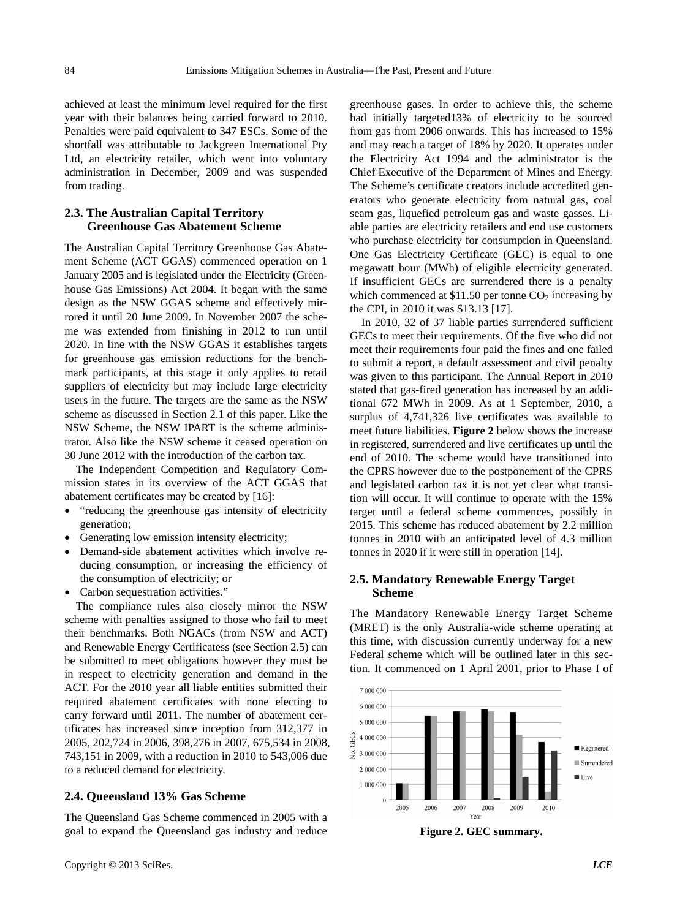achieved at least the minimum level required for the first year with their balances being carried forward to 2010. Penalties were paid equivalent to 347 ESCs. Some of the shortfall was attributable to Jackgreen International Pty Ltd, an electricity retailer, which went into voluntary administration in December, 2009 and was suspended from trading.

#### **2.3. The Australian Capital Territory Greenhouse Gas Abatement Scheme**

The Australian Capital Territory Greenhouse Gas Abatement Scheme (ACT GGAS) commenced operation on 1 January 2005 and is legislated under the Electricity (Greenhouse Gas Emissions) Act 2004. It began with the same design as the NSW GGAS scheme and effectively mirrored it until 20 June 2009. In November 2007 the scheme was extended from finishing in 2012 to run until 2020. In line with the NSW GGAS it establishes targets for greenhouse gas emission reductions for the benchmark participants, at this stage it only applies to retail suppliers of electricity but may include large electricity users in the future. The targets are the same as the NSW scheme as discussed in Section 2.1 of this paper. Like the NSW Scheme, the NSW IPART is the scheme administrator. Also like the NSW scheme it ceased operation on 30 June 2012 with the introduction of the carbon tax.

The Independent Competition and Regulatory Commission states in its overview of the ACT GGAS that abatement certificates may be created by [16]:

- "reducing the greenhouse gas intensity of electricity generation;
- Generating low emission intensity electricity;
- Demand-side abatement activities which involve reducing consumption, or increasing the efficiency of the consumption of electricity; or
- Carbon sequestration activities."

The compliance rules also closely mirror the NSW scheme with penalties assigned to those who fail to meet their benchmarks. Both NGACs (from NSW and ACT) and Renewable Energy Certificatess (see Section 2.5) can be submitted to meet obligations however they must be in respect to electricity generation and demand in the ACT. For the 2010 year all liable entities submitted their required abatement certificates with none electing to carry forward until 2011. The number of abatement certificates has increased since inception from 312,377 in 2005, 202,724 in 2006, 398,276 in 2007, 675,534 in 2008, 743,151 in 2009, with a reduction in 2010 to 543,006 due to a reduced demand for electricity.

## **2.4. Queensland 13% Gas Scheme**

The Queensland Gas Scheme commenced in 2005 with a goal to expand the Queensland gas industry and reduce greenhouse gases. In order to achieve this, the scheme had initially targeted13% of electricity to be sourced from gas from 2006 onwards. This has increased to 15% and may reach a target of 18% by 2020. It operates under the Electricity Act 1994 and the administrator is the Chief Executive of the Department of Mines and Energy. The Scheme's certificate creators include accredited generators who generate electricity from natural gas, coal seam gas, liquefied petroleum gas and waste gasses. Liable parties are electricity retailers and end use customers who purchase electricity for consumption in Queensland. One Gas Electricity Certificate (GEC) is equal to one megawatt hour (MWh) of eligible electricity generated. If insufficient GECs are surrendered there is a penalty which commenced at \$11.50 per tonne  $CO<sub>2</sub>$  increasing by the CPI, in 2010 it was \$13.13 [17].

In 2010, 32 of 37 liable parties surrendered sufficient GECs to meet their requirements. Of the five who did not meet their requirements four paid the fines and one failed to submit a report, a default assessment and civil penalty was given to this participant. The Annual Report in 2010 stated that gas-fired generation has increased by an additional 672 MWh in 2009. As at 1 September, 2010, a surplus of 4,741,326 live certificates was available to meet future liabilities. **Figure 2** below shows the increase in registered, surrendered and live certificates up until the end of 2010. The scheme would have transitioned into the CPRS however due to the postponement of the CPRS and legislated carbon tax it is not yet clear what transition will occur. It will continue to operate with the 15% target until a federal scheme commences, possibly in 2015. This scheme has reduced abatement by 2.2 million tonnes in 2010 with an anticipated level of 4.3 million tonnes in 2020 if it were still in operation [14].

#### **2.5. Mandatory Renewable Energy Target Scheme**

The Mandatory Renewable Energy Target Scheme (MRET) is the only Australia-wide scheme operating at this time, with discussion currently underway for a new Federal scheme which will be outlined later in this section. It commenced on 1 April 2001, prior to Phase I of

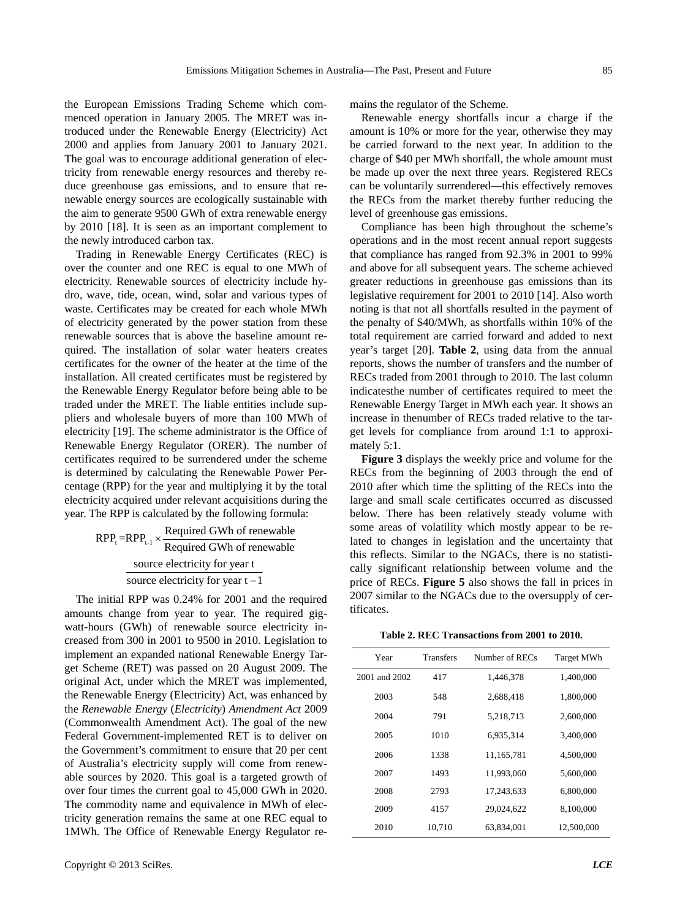the European Emissions Trading Scheme which commenced operation in January 2005. The MRET was introduced under the Renewable Energy (Electricity) Act 2000 and applies from January 2001 to January 2021. The goal was to encourage additional generation of electricity from renewable energy resources and thereby reduce greenhouse gas emissions, and to ensure that renewable energy sources are ecologically sustainable with the aim to generate 9500 GWh of extra renewable energy by 2010 [18]. It is seen as an important complement to the newly introduced carbon tax.

Trading in Renewable Energy Certificates (REC) is over the counter and one REC is equal to one MWh of electricity. Renewable sources of electricity include hydro, wave, tide, ocean, wind, solar and various types of waste. Certificates may be created for each whole MWh of electricity generated by the power station from these renewable sources that is above the baseline amount required. The installation of solar water heaters creates certificates for the owner of the heater at the time of the installation. All created certificates must be registered by the Renewable Energy Regulator before being able to be traded under the MRET. The liable entities include suppliers and wholesale buyers of more than 100 MWh of electricity [19]. The scheme administrator is the Office of Renewable Energy Regulator (ORER). The number of certificates required to be surrendered under the scheme is determined by calculating the Renewable Power Percentage (RPP) for the year and multiplying it by the total electricity acquired under relevant acquisitions during the year. The RPP is calculated by the following formula:

> $RPP_t = RPP_{t-1} \times \frac{Required\ GWh\ of\ renewal} {Required\ GWh\ of\ renewal}$ source electricity for year t source electricity for year  $t - 1$  $\times$

The initial RPP was 0.24% for 2001 and the required amounts change from year to year. The required gigwatt-hours (GWh) of renewable source electricity increased from 300 in 2001 to 9500 in 2010. Legislation to implement an expanded national Renewable Energy Target Scheme (RET) was passed on 20 August 2009. The original Act, under which the MRET was implemented, the Renewable Energy (Electricity) Act, was enhanced by the *Renewable Energy* (*Electricity*) *Amendment Act* 2009 (Commonwealth Amendment Act). The goal of the new Federal Government-implemented RET is to deliver on the Government's commitment to ensure that 20 per cent of Australia's electricity supply will come from renewable sources by 2020. This goal is a targeted growth of over four times the current goal to 45,000 GWh in 2020. The commodity name and equivalence in MWh of electricity generation remains the same at one REC equal to 1MWh. The Office of Renewable Energy Regulator remains the regulator of the Scheme.

Renewable energy shortfalls incur a charge if the amount is 10% or more for the year, otherwise they may be carried forward to the next year. In addition to the charge of \$40 per MWh shortfall, the whole amount must be made up over the next three years. Registered RECs can be voluntarily surrendered—this effectively removes the RECs from the market thereby further reducing the level of greenhouse gas emissions.

Compliance has been high throughout the scheme's operations and in the most recent annual report suggests that compliance has ranged from 92.3% in 2001 to 99% and above for all subsequent years. The scheme achieved greater reductions in greenhouse gas emissions than its legislative requirement for 2001 to 2010 [14]. Also worth noting is that not all shortfalls resulted in the payment of the penalty of \$40/MWh, as shortfalls within 10% of the total requirement are carried forward and added to next year's target [20]. **Table 2**, using data from the annual reports, shows the number of transfers and the number of RECs traded from 2001 through to 2010. The last column indicatesthe number of certificates required to meet the Renewable Energy Target in MWh each year. It shows an increase in thenumber of RECs traded relative to the target levels for compliance from around 1:1 to approximately 5:1.

**Figure 3** displays the weekly price and volume for the RECs from the beginning of 2003 through the end of 2010 after which time the splitting of the RECs into the large and small scale certificates occurred as discussed below. There has been relatively steady volume with some areas of volatility which mostly appear to be related to changes in legislation and the uncertainty that this reflects. Similar to the NGACs, there is no statistically significant relationship between volume and the price of RECs. **Figure 5** also shows the fall in prices in 2007 similar to the NGACs due to the oversupply of certificates.

**Table 2. REC Transactions from 2001 to 2010.** 

| Year          | <b>Transfers</b> | Number of RECs | Target MWh |
|---------------|------------------|----------------|------------|
| 2001 and 2002 | 417              | 1.446.378      | 1,400,000  |
| 2003          | 548              | 2,688,418      | 1,800,000  |
| 2004          | 791              | 5.218.713      | 2,600,000  |
| 2005          | 1010             | 6,935,314      | 3,400,000  |
| 2006          | 1338             | 11,165,781     | 4,500,000  |
| 2007          | 1493             | 11,993,060     | 5,600,000  |
| 2008          | 2793             | 17,243,633     | 6,800,000  |
| 2009          | 4157             | 29,024,622     | 8,100,000  |
| 2010          | 10,710           | 63,834,001     | 12,500,000 |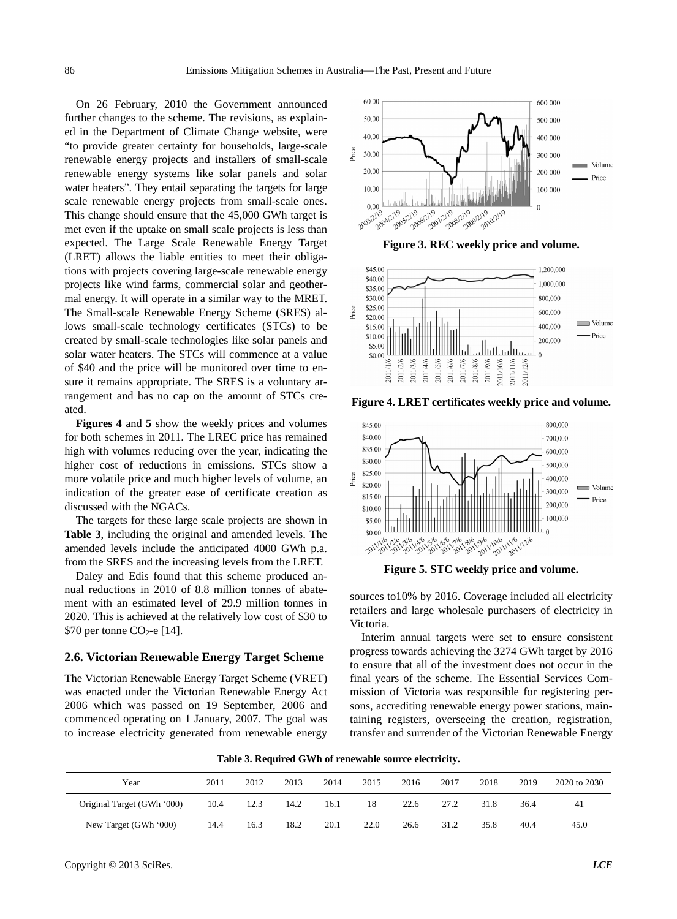On 26 February, 2010 the Government announced further changes to the scheme. The revisions, as explained in the Department of Climate Change website, were "to provide greater certainty for households, large-scale renewable energy projects and installers of small-scale renewable energy systems like solar panels and solar water heaters". They entail separating the targets for large scale renewable energy projects from small-scale ones. This change should ensure that the 45,000 GWh target is met even if the uptake on small scale projects is less than expected. The Large Scale Renewable Energy Target (LRET) allows the liable entities to meet their obligations with projects covering large-scale renewable energy projects like wind farms, commercial solar and geothermal energy. It will operate in a similar way to the MRET. The Small-scale Renewable Energy Scheme (SRES) allows small-scale technology certificates (STCs) to be created by small-scale technologies like solar panels and solar water heaters. The STCs will commence at a value of \$40 and the price will be monitored over time to ensure it remains appropriate. The SRES is a voluntary arrangement and has no cap on the amount of STCs created.

**Figures 4** and **5** show the weekly prices and volumes for both schemes in 2011. The LREC price has remained high with volumes reducing over the year, indicating the higher cost of reductions in emissions. STCs show a more volatile price and much higher levels of volume, an indication of the greater ease of certificate creation as discussed with the NGACs.

The targets for these large scale projects are shown in **Table 3**, including the original and amended levels. The amended levels include the anticipated 4000 GWh p.a. amended levels include the anticipated 4000 GWh p.a.<br>
from the SRES and the increasing levels from the LRET.<br>
Daley and Edis found that this scheme produced an-<br>
Daley and Edis found that this scheme produced an-

nual reductions in 2010 of 8.8 million tonnes of abatement with an estimated level of 29.9 million tonnes in 2020. This is achieved at the relatively low cost of \$30 to  $$70$  per tonne CO<sub>2</sub>-e [14].

#### **2.6. Victorian Renewable Energy Target Scheme**

The Victorian Renewable Energy Target Scheme (VRET) was enacted under the Victorian Renewable Energy Act 2006 which was passed on 19 September, 2006 and commenced operating on 1 January, 2007. The goal was to increase electricity generated from renewable energy



**Figure 3. REC weekly price and volume.** 



**Figure 4. LRET certificates weekly price and volume.** 



sources to10% by 2016. Coverage included all electricity retailers and large wholesale purchasers of electricity in Victoria.

Interim annual targets were set to ensure consistent progress towards achieving the 3274 GWh target by 2016 to ensure that all of the investment does not occur in the final years of the scheme. The Essential Services Commission of Victoria was responsible for registering persons, accrediting renewable energy power stations, maintaining registers, overseeing the creation, registration, transfer and surrender of the Victorian Renewable Energy

**Table 3. Required GWh of renewable source electricity.**

| Year                       | 2011 | 2012 | 2013 | 2014 | 2015 | 2016 | 2017 | 2018 | 2019 | 2020 to 2030 |
|----------------------------|------|------|------|------|------|------|------|------|------|--------------|
| Original Target (GWh '000) | 10.4 | 12.3 | 14.2 | 16.1 | 18   | 22.6 | 27.2 | 31.8 | 36.4 | 41           |
| New Target (GWh '000)      | 14.4 | 16.3 | 18.2 | 20.1 | 22.0 | 26.6 | 31.2 | 35.8 | 40.4 | 45.0         |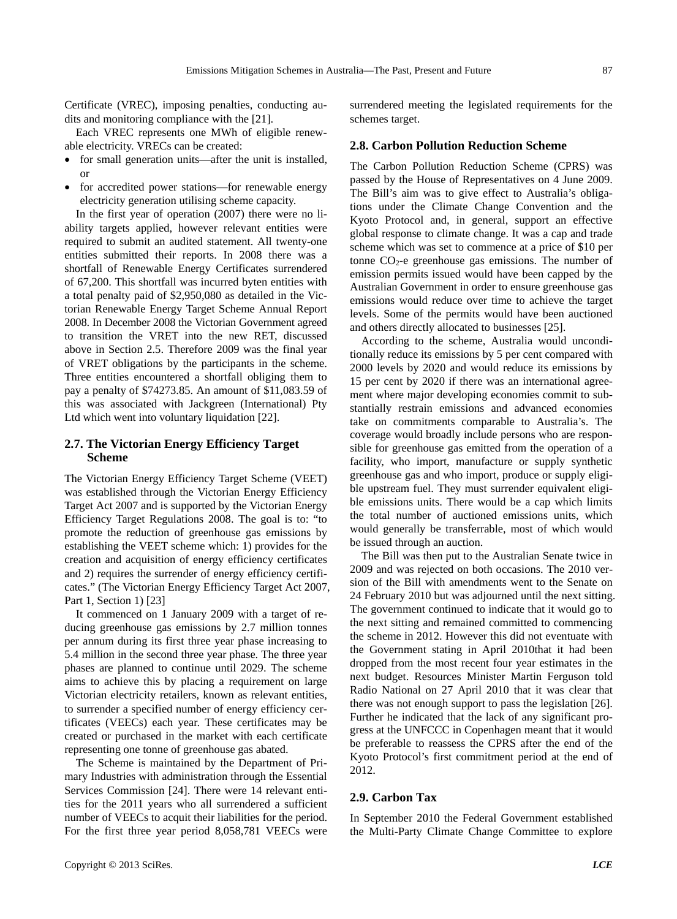Certificate (VREC), imposing penalties, conducting audits and monitoring compliance with the [21].

Each VREC represents one MWh of eligible renewable electricity. VRECs can be created:

- for small generation units—after the unit is installed, or
- for accredited power stations—for renewable energy electricity generation utilising scheme capacity.

In the first year of operation (2007) there were no liability targets applied, however relevant entities were required to submit an audited statement. All twenty-one entities submitted their reports. In 2008 there was a shortfall of Renewable Energy Certificates surrendered of 67,200. This shortfall was incurred byten entities with a total penalty paid of \$2,950,080 as detailed in the Victorian Renewable Energy Target Scheme Annual Report 2008. In December 2008 the Victorian Government agreed to transition the VRET into the new RET, discussed above in Section 2.5. Therefore 2009 was the final year of VRET obligations by the participants in the scheme. Three entities encountered a shortfall obliging them to pay a penalty of \$74273.85. An amount of \$11,083.59 of this was associated with Jackgreen (International) Pty Ltd which went into voluntary liquidation [22].

### **2.7. The Victorian Energy Efficiency Target Scheme**

The Victorian Energy Efficiency Target Scheme (VEET) was established through the Victorian Energy Efficiency Target Act 2007 and is supported by the Victorian Energy Efficiency Target Regulations 2008. The goal is to: "to promote the reduction of greenhouse gas emissions by establishing the VEET scheme which: 1) provides for the creation and acquisition of energy efficiency certificates and 2) requires the surrender of energy efficiency certificates." (The Victorian Energy Efficiency Target Act 2007, Part 1, Section 1) [23]

It commenced on 1 January 2009 with a target of reducing greenhouse gas emissions by 2.7 million tonnes per annum during its first three year phase increasing to 5.4 million in the second three year phase. The three year phases are planned to continue until 2029. The scheme aims to achieve this by placing a requirement on large Victorian electricity retailers, known as relevant entities, to surrender a specified number of energy efficiency certificates (VEECs) each year. These certificates may be created or purchased in the market with each certificate representing one tonne of greenhouse gas abated.

The Scheme is maintained by the Department of Primary Industries with administration through the Essential Services Commission [24]. There were 14 relevant entities for the 2011 years who all surrendered a sufficient number of VEECs to acquit their liabilities for the period. For the first three year period 8,058,781 VEECs were surrendered meeting the legislated requirements for the schemes target.

#### **2.8. Carbon Pollution Reduction Scheme**

The Carbon Pollution Reduction Scheme (CPRS) was passed by the House of Representatives on 4 June 2009. The Bill's aim was to give effect to Australia's obligations under the Climate Change Convention and the Kyoto Protocol and, in general, support an effective global response to climate change. It was a cap and trade scheme which was set to commence at a price of \$10 per tonne  $CO<sub>2</sub>$ -e greenhouse gas emissions. The number of emission permits issued would have been capped by the Australian Government in order to ensure greenhouse gas emissions would reduce over time to achieve the target levels. Some of the permits would have been auctioned and others directly allocated to businesses [25].

According to the scheme, Australia would unconditionally reduce its emissions by 5 per cent compared with 2000 levels by 2020 and would reduce its emissions by 15 per cent by 2020 if there was an international agreement where major developing economies commit to substantially restrain emissions and advanced economies take on commitments comparable to Australia's. The coverage would broadly include persons who are responsible for greenhouse gas emitted from the operation of a facility, who import, manufacture or supply synthetic greenhouse gas and who import, produce or supply eligible upstream fuel. They must surrender equivalent eligible emissions units. There would be a cap which limits the total number of auctioned emissions units, which would generally be transferrable, most of which would be issued through an auction.

The Bill was then put to the Australian Senate twice in 2009 and was rejected on both occasions. The 2010 version of the Bill with amendments went to the Senate on 24 February 2010 but was adjourned until the next sitting. The government continued to indicate that it would go to the next sitting and remained committed to commencing the scheme in 2012. However this did not eventuate with the Government stating in April 2010that it had been dropped from the most recent four year estimates in the next budget. Resources Minister Martin Ferguson told Radio National on 27 April 2010 that it was clear that there was not enough support to pass the legislation [26]. Further he indicated that the lack of any significant progress at the UNFCCC in Copenhagen meant that it would be preferable to reassess the CPRS after the end of the Kyoto Protocol's first commitment period at the end of 2012.

## **2.9. Carbon Tax**

In September 2010 the Federal Government established the Multi-Party Climate Change Committee to explore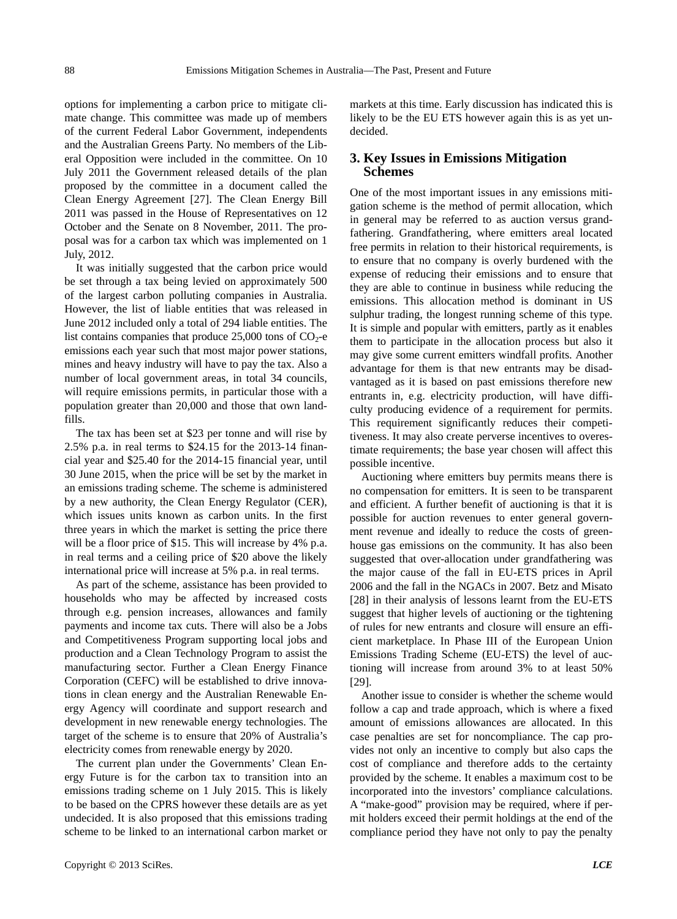options for implementing a carbon price to mitigate climate change. This committee was made up of members of the current Federal Labor Government, independents and the Australian Greens Party. No members of the Liberal Opposition were included in the committee. On 10 July 2011 the Government released details of the plan proposed by the committee in a document called the Clean Energy Agreement [27]. The Clean Energy Bill 2011 was passed in the House of Representatives on 12 October and the Senate on 8 November, 2011. The proposal was for a carbon tax which was implemented on 1 July, 2012.

It was initially suggested that the carbon price would be set through a tax being levied on approximately 500 of the largest carbon polluting companies in Australia. However, the list of liable entities that was released in June 2012 included only a total of 294 liable entities. The list contains companies that produce  $25,000$  tons of  $CO<sub>2</sub>$ -e emissions each year such that most major power stations, mines and heavy industry will have to pay the tax. Also a number of local government areas, in total 34 councils, will require emissions permits, in particular those with a population greater than 20,000 and those that own landfills.

The tax has been set at \$23 per tonne and will rise by 2.5% p.a. in real terms to \$24.15 for the 2013-14 financial year and \$25.40 for the 2014-15 financial year, until 30 June 2015, when the price will be set by the market in an emissions trading scheme. The scheme is administered by a new authority, the Clean Energy Regulator (CER), which issues units known as carbon units. In the first three years in which the market is setting the price there will be a floor price of \$15. This will increase by 4% p.a. in real terms and a ceiling price of \$20 above the likely international price will increase at 5% p.a. in real terms.

As part of the scheme, assistance has been provided to households who may be affected by increased costs through e.g. pension increases, allowances and family payments and income tax cuts. There will also be a Jobs and Competitiveness Program supporting local jobs and production and a Clean Technology Program to assist the manufacturing sector. Further a Clean Energy Finance Corporation (CEFC) will be established to drive innovations in clean energy and the Australian Renewable Energy Agency will coordinate and support research and development in new renewable energy technologies. The target of the scheme is to ensure that 20% of Australia's electricity comes from renewable energy by 2020.

The current plan under the Governments' Clean Energy Future is for the carbon tax to transition into an emissions trading scheme on 1 July 2015. This is likely to be based on the CPRS however these details are as yet undecided. It is also proposed that this emissions trading scheme to be linked to an international carbon market or markets at this time. Early discussion has indicated this is likely to be the EU ETS however again this is as yet undecided.

## **3. Key Issues in Emissions Mitigation Schemes**

One of the most important issues in any emissions mitigation scheme is the method of permit allocation, which in general may be referred to as auction versus grandfathering. Grandfathering, where emitters areal located free permits in relation to their historical requirements, is to ensure that no company is overly burdened with the expense of reducing their emissions and to ensure that they are able to continue in business while reducing the emissions. This allocation method is dominant in US sulphur trading, the longest running scheme of this type. It is simple and popular with emitters, partly as it enables them to participate in the allocation process but also it may give some current emitters windfall profits. Another advantage for them is that new entrants may be disadvantaged as it is based on past emissions therefore new entrants in, e.g. electricity production, will have difficulty producing evidence of a requirement for permits. This requirement significantly reduces their competitiveness. It may also create perverse incentives to overestimate requirements; the base year chosen will affect this possible incentive.

Auctioning where emitters buy permits means there is no compensation for emitters. It is seen to be transparent and efficient. A further benefit of auctioning is that it is possible for auction revenues to enter general government revenue and ideally to reduce the costs of greenhouse gas emissions on the community. It has also been suggested that over-allocation under grandfathering was the major cause of the fall in EU-ETS prices in April 2006 and the fall in the NGACs in 2007. Betz and Misato [28] in their analysis of lessons learnt from the EU-ETS suggest that higher levels of auctioning or the tightening of rules for new entrants and closure will ensure an efficient marketplace. In Phase III of the European Union Emissions Trading Scheme (EU-ETS) the level of auctioning will increase from around 3% to at least 50% [29].

Another issue to consider is whether the scheme would follow a cap and trade approach, which is where a fixed amount of emissions allowances are allocated. In this case penalties are set for noncompliance. The cap provides not only an incentive to comply but also caps the cost of compliance and therefore adds to the certainty provided by the scheme. It enables a maximum cost to be incorporated into the investors' compliance calculations. A "make-good" provision may be required, where if permit holders exceed their permit holdings at the end of the compliance period they have not only to pay the penalty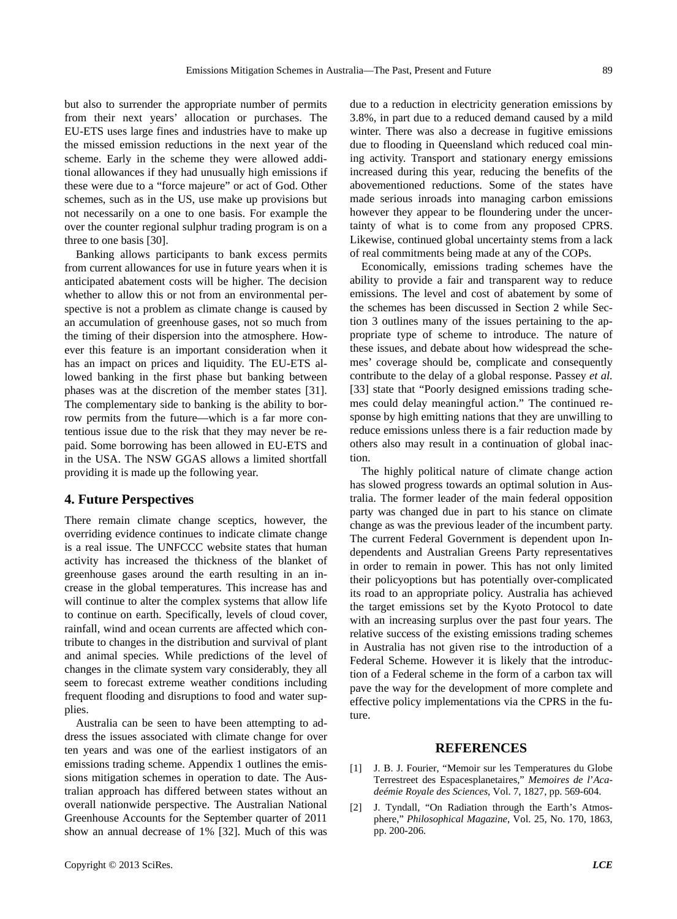but also to surrender the appropriate number of permits from their next years' allocation or purchases. The EU-ETS uses large fines and industries have to make up the missed emission reductions in the next year of the scheme. Early in the scheme they were allowed additional allowances if they had unusually high emissions if these were due to a "force majeure" or act of God. Other schemes, such as in the US, use make up provisions but not necessarily on a one to one basis. For example the over the counter regional sulphur trading program is on a three to one basis [30].

Banking allows participants to bank excess permits from current allowances for use in future years when it is anticipated abatement costs will be higher. The decision whether to allow this or not from an environmental perspective is not a problem as climate change is caused by an accumulation of greenhouse gases, not so much from the timing of their dispersion into the atmosphere. However this feature is an important consideration when it has an impact on prices and liquidity. The EU-ETS allowed banking in the first phase but banking between phases was at the discretion of the member states [31]. The complementary side to banking is the ability to borrow permits from the future—which is a far more contentious issue due to the risk that they may never be repaid. Some borrowing has been allowed in EU-ETS and in the USA. The NSW GGAS allows a limited shortfall providing it is made up the following year.

## **4. Future Perspectives**

There remain climate change sceptics, however, the overriding evidence continues to indicate climate change is a real issue. The UNFCCC website states that human activity has increased the thickness of the blanket of greenhouse gases around the earth resulting in an increase in the global temperatures. This increase has and will continue to alter the complex systems that allow life to continue on earth. Specifically, levels of cloud cover, rainfall, wind and ocean currents are affected which contribute to changes in the distribution and survival of plant and animal species. While predictions of the level of changes in the climate system vary considerably, they all seem to forecast extreme weather conditions including frequent flooding and disruptions to food and water supplies.

Australia can be seen to have been attempting to address the issues associated with climate change for over ten years and was one of the earliest instigators of an emissions trading scheme. Appendix 1 outlines the emissions mitigation schemes in operation to date. The Australian approach has differed between states without an overall nationwide perspective. The Australian National Greenhouse Accounts for the September quarter of 2011 show an annual decrease of 1% [32]. Much of this was due to a reduction in electricity generation emissions by 3.8%, in part due to a reduced demand caused by a mild winter. There was also a decrease in fugitive emissions due to flooding in Queensland which reduced coal mining activity. Transport and stationary energy emissions increased during this year, reducing the benefits of the abovementioned reductions. Some of the states have made serious inroads into managing carbon emissions however they appear to be floundering under the uncertainty of what is to come from any proposed CPRS. Likewise, continued global uncertainty stems from a lack of real commitments being made at any of the COPs.

Economically, emissions trading schemes have the ability to provide a fair and transparent way to reduce emissions. The level and cost of abatement by some of the schemes has been discussed in Section 2 while Section 3 outlines many of the issues pertaining to the appropriate type of scheme to introduce. The nature of these issues, and debate about how widespread the schemes' coverage should be, complicate and consequently contribute to the delay of a global response. Passey *et al.* [33] state that "Poorly designed emissions trading schemes could delay meaningful action." The continued response by high emitting nations that they are unwilling to reduce emissions unless there is a fair reduction made by others also may result in a continuation of global inaction.

The highly political nature of climate change action has slowed progress towards an optimal solution in Australia. The former leader of the main federal opposition party was changed due in part to his stance on climate change as was the previous leader of the incumbent party. The current Federal Government is dependent upon Independents and Australian Greens Party representatives in order to remain in power. This has not only limited their policyoptions but has potentially over-complicated its road to an appropriate policy. Australia has achieved the target emissions set by the Kyoto Protocol to date with an increasing surplus over the past four years. The relative success of the existing emissions trading schemes in Australia has not given rise to the introduction of a Federal Scheme. However it is likely that the introduction of a Federal scheme in the form of a carbon tax will pave the way for the development of more complete and effective policy implementations via the CPRS in the future.

## **REFERENCES**

- [1] J. B. J. Fourier, "Memoir sur les Temperatures du Globe Terrestreet des Espacesplanetaires," *Memoires de l*'*Acadeémie Royale des Sciences*, Vol. 7, 1827, pp. 569-604.
- [2] J. Tyndall, "On Radiation through the Earth's Atmosphere," *Philosophical Magazine*, Vol. 25, No. 170, 1863, pp. 200-206.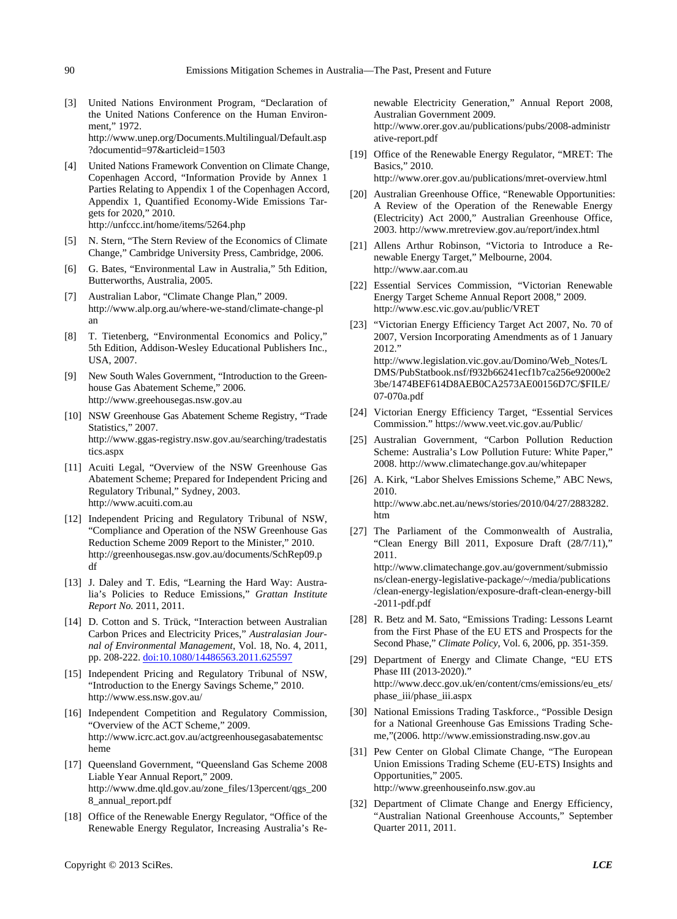- [3] United Nations Environment Program, "Declaration of the United Nations Conference on the Human Environment," 1972. http://www.unep.org/Documents.Multilingual/Default.asp ?documentid=97&articleid=1503
- [4] United Nations Framework Convention on Climate Change, Copenhagen Accord, "Information Provide by Annex 1 Parties Relating to Appendix 1 of the Copenhagen Accord, Appendix 1, Quantified Economy-Wide Emissions Targets for 2020," 2010. http://unfccc.int/home/items/5264.php
- [5] N. Stern, "The Stern Review of the Economics of Climate Change," Cambridge University Press, Cambridge, 2006.
- [6] G. Bates, "Environmental Law in Australia," 5th Edition, Butterworths, Australia, 2005.
- [7] Australian Labor, "Climate Change Plan," 2009. http://www.alp.org.au/where-we-stand/climate-change-pl an
- [8] T. Tietenberg, "Environmental Economics and Policy," 5th Edition, Addison-Wesley Educational Publishers Inc., USA, 2007.
- [9] New South Wales Government, "Introduction to the Greenhouse Gas Abatement Scheme," 2006. http://www.greehousegas.nsw.gov.au
- [10] NSW Greenhouse Gas Abatement Scheme Registry, "Trade Statistics," 2007. http://www.ggas-registry.nsw.gov.au/searching/tradestatis tics.aspx
- [11] Acuiti Legal, "Overview of the NSW Greenhouse Gas Abatement Scheme; Prepared for Independent Pricing and Regulatory Tribunal," Sydney, 2003. http://www.acuiti.com.au
- [12] Independent Pricing and Regulatory Tribunal of NSW, "Compliance and Operation of the NSW Greenhouse Gas Reduction Scheme 2009 Report to the Minister," 2010. http://greenhousegas.nsw.gov.au/documents/SchRep09.p df
- [13] J. Daley and T. Edis, "Learning the Hard Way: Australia's Policies to Reduce Emissions," *Grattan Institute Report No.* 2011, 2011.
- [14] D. Cotton and S. Trück, "Interaction between Australian Carbon Prices and Electricity Prices," *Australasian Journal of Environmental Management*, Vol. 18, No. 4, 2011, pp. 208-222. [doi:10.1080/14486563.2011.625597](http://dx.doi.org/10.1080/14486563.2011.625597)
- [15] Independent Pricing and Regulatory Tribunal of NSW, "Introduction to the Energy Savings Scheme," 2010. http://www.ess.nsw.gov.au/
- [16] Independent Competition and Regulatory Commission, "Overview of the ACT Scheme," 2009. http://www.icrc.act.gov.au/actgreenhousegasabatementsc heme
- [17] Queensland Government, "Queensland Gas Scheme 2008 Liable Year Annual Report," 2009. http://www.dme.qld.gov.au/zone\_files/13percent/qgs\_200 8\_annual\_report.pdf
- [18] Office of the Renewable Energy Regulator, "Office of the Renewable Energy Regulator, Increasing Australia's Re-

newable Electricity Generation," Annual Report 2008, Australian Government 2009. http://www.orer.gov.au/publications/pubs/2008-administr ative-report.pdf

- [19] Office of the Renewable Energy Regulator, "MRET: The Basics," 2010. http://www.orer.gov.au/publications/mret-overview.html
- [20] Australian Greenhouse Office, "Renewable Opportunities: A Review of the Operation of the Renewable Energy (Electricity) Act 2000," Australian Greenhouse Office, 2003. http://www.mretreview.gov.au/report/index.html
- [21] Allens Arthur Robinson, "Victoria to Introduce a Renewable Energy Target," Melbourne, 2004. http://www.aar.com.au
- [22] Essential Services Commission, "Victorian Renewable Energy Target Scheme Annual Report 2008," 2009. http://www.esc.vic.gov.au/public/VRET
- [23] "Victorian Energy Efficiency Target Act 2007, No. 70 of 2007, Version Incorporating Amendments as of 1 January 2012." http://www.legislation.vic.gov.au/Domino/Web\_Notes/L DMS/PubStatbook.nsf/f932b66241ecf1b7ca256e92000e2 3be/1474BEF614D8AEB0CA2573AE00156D7C/\$FILE/ 07-070a.pdf
- [24] Victorian Energy Efficiency Target, "Essential Services Commission." https://www.veet.vic.gov.au/Public/
- [25] Australian Government, "Carbon Pollution Reduction Scheme: Australia's Low Pollution Future: White Paper," 2008. http://www.climatechange.gov.au/whitepaper
- [26] A. Kirk, "Labor Shelves Emissions Scheme," ABC News, 2010. http://www.abc.net.au/news/stories/2010/04/27/2883282. htm
- [27] The Parliament of the Commonwealth of Australia, "Clean Energy Bill 2011, Exposure Draft (28/7/11)," 2011. http://www.climatechange.gov.au/government/submissio

ns/clean-energy-legislative-package/~/media/publications /clean-energy-legislation/exposure-draft-clean-energy-bill -2011-pdf.pdf

- [28] R. Betz and M. Sato, "Emissions Trading: Lessons Learnt from the First Phase of the EU ETS and Prospects for the Second Phase," *Climate Policy*, Vol. 6, 2006, pp. 351-359.
- [29] Department of Energy and Climate Change, "EU ETS Phase III (2013-2020)." http://www.decc.gov.uk/en/content/cms/emissions/eu\_ets/ phase\_iii/phase\_iii.aspx
- [30] National Emissions Trading Taskforce., "Possible Design for a National Greenhouse Gas Emissions Trading Scheme,"(2006. http://www.emissionstrading.nsw.gov.au
- [31] Pew Center on Global Climate Change, "The European Union Emissions Trading Scheme (EU-ETS) Insights and Opportunities," 2005. http://www.greenhouseinfo.nsw.gov.au
- [32] Department of Climate Change and Energy Efficiency, "Australian National Greenhouse Accounts," September Quarter 2011, 2011.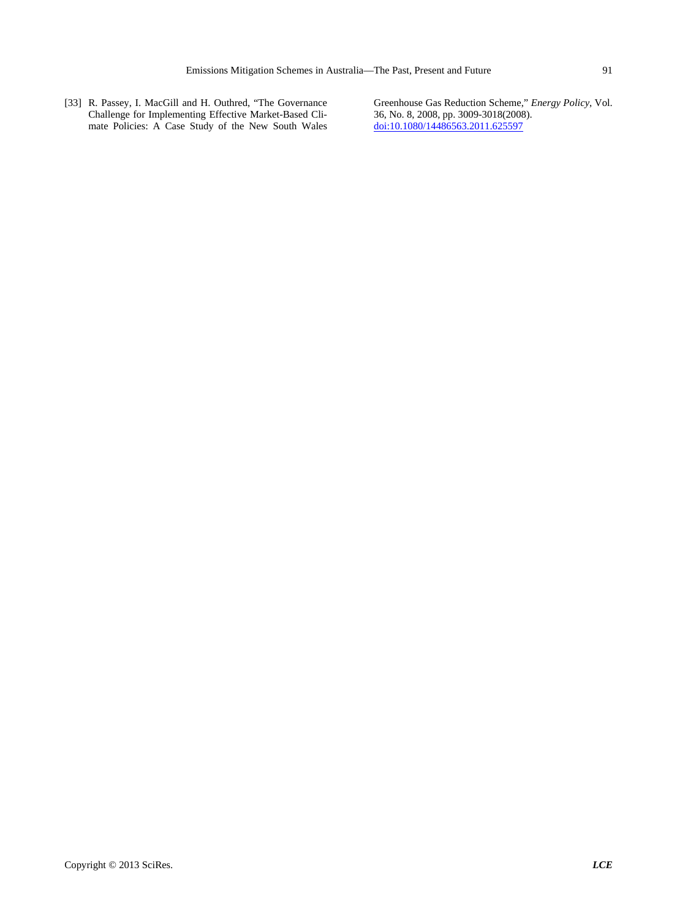[33] R. Passey, I. MacGill and H. Outhred, "The Governance Challenge for Implementing Effective Market-Based Climate Policies: A Case Study of the New South Wales

Greenhouse Gas Reduction Scheme," *Energy Policy*, Vol. 36, No. 8, 2008, pp. 3009-3018(2008). [doi:10.1080/14486563.2011.625597](http://dx.doi.org/10.1080/14486563.2011.625597)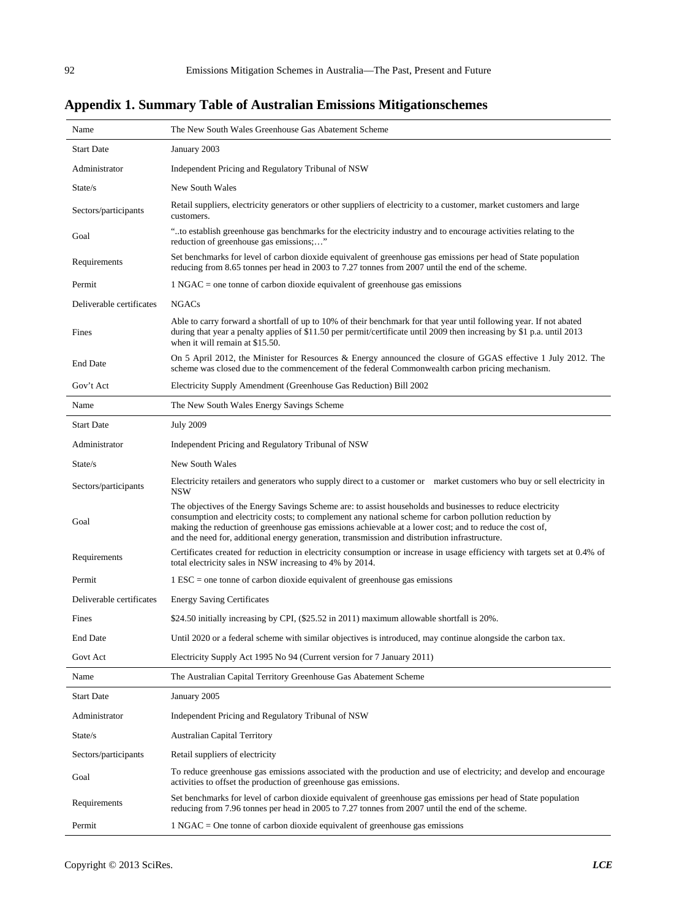**Appendix 1. Summary Table of Australian Emissions Mitigationschemes**

| Name                     | The New South Wales Greenhouse Gas Abatement Scheme                                                                                                                                                                                                                                                                                                                                                                              |
|--------------------------|----------------------------------------------------------------------------------------------------------------------------------------------------------------------------------------------------------------------------------------------------------------------------------------------------------------------------------------------------------------------------------------------------------------------------------|
| <b>Start Date</b>        | January 2003                                                                                                                                                                                                                                                                                                                                                                                                                     |
| Administrator            | Independent Pricing and Regulatory Tribunal of NSW                                                                                                                                                                                                                                                                                                                                                                               |
| State/s                  | New South Wales                                                                                                                                                                                                                                                                                                                                                                                                                  |
| Sectors/participants     | Retail suppliers, electricity generators or other suppliers of electricity to a customer, market customers and large<br>customers.                                                                                                                                                                                                                                                                                               |
| Goal                     | "to establish greenhouse gas benchmarks for the electricity industry and to encourage activities relating to the<br>reduction of greenhouse gas emissions;"                                                                                                                                                                                                                                                                      |
| Requirements             | Set benchmarks for level of carbon dioxide equivalent of greenhouse gas emissions per head of State population<br>reducing from 8.65 tonnes per head in 2003 to 7.27 tonnes from 2007 until the end of the scheme.                                                                                                                                                                                                               |
| Permit                   | $1$ NGAC = one tonne of carbon dioxide equivalent of greenhouse gas emissions                                                                                                                                                                                                                                                                                                                                                    |
| Deliverable certificates | <b>NGACs</b>                                                                                                                                                                                                                                                                                                                                                                                                                     |
| Fines                    | Able to carry forward a shortfall of up to 10% of their benchmark for that year until following year. If not abated<br>during that year a penalty applies of \$11.50 per permit/certificate until 2009 then increasing by \$1 p.a. until 2013<br>when it will remain at \$15.50.                                                                                                                                                 |
| <b>End Date</b>          | On 5 April 2012, the Minister for Resources & Energy announced the closure of GGAS effective 1 July 2012. The<br>scheme was closed due to the commencement of the federal Commonwealth carbon pricing mechanism.                                                                                                                                                                                                                 |
| Gov't Act                | Electricity Supply Amendment (Greenhouse Gas Reduction) Bill 2002                                                                                                                                                                                                                                                                                                                                                                |
| Name                     | The New South Wales Energy Savings Scheme                                                                                                                                                                                                                                                                                                                                                                                        |
| <b>Start Date</b>        | <b>July 2009</b>                                                                                                                                                                                                                                                                                                                                                                                                                 |
| Administrator            | Independent Pricing and Regulatory Tribunal of NSW                                                                                                                                                                                                                                                                                                                                                                               |
| State/s                  | New South Wales                                                                                                                                                                                                                                                                                                                                                                                                                  |
| Sectors/participants     | Electricity retailers and generators who supply direct to a customer or market customers who buy or sell electricity in<br><b>NSW</b>                                                                                                                                                                                                                                                                                            |
| Goal                     | The objectives of the Energy Savings Scheme are: to assist households and businesses to reduce electricity<br>consumption and electricity costs; to complement any national scheme for carbon pollution reduction by<br>making the reduction of greenhouse gas emissions achievable at a lower cost; and to reduce the cost of,<br>and the need for, additional energy generation, transmission and distribution infrastructure. |
| Requirements             | Certificates created for reduction in electricity consumption or increase in usage efficiency with targets set at 0.4% of<br>total electricity sales in NSW increasing to 4% by 2014.                                                                                                                                                                                                                                            |
| Permit                   | $1$ ESC = one tonne of carbon dioxide equivalent of greenhouse gas emissions                                                                                                                                                                                                                                                                                                                                                     |
| Deliverable certificates | <b>Energy Saving Certificates</b>                                                                                                                                                                                                                                                                                                                                                                                                |
| Fines                    | \$24.50 initially increasing by CPI, (\$25.52 in 2011) maximum allowable shortfall is 20%.                                                                                                                                                                                                                                                                                                                                       |
| <b>End Date</b>          | Until 2020 or a federal scheme with similar objectives is introduced, may continue alongside the carbon tax.                                                                                                                                                                                                                                                                                                                     |
| Govt Act                 | Electricity Supply Act 1995 No 94 (Current version for 7 January 2011)                                                                                                                                                                                                                                                                                                                                                           |
| Name                     | The Australian Capital Territory Greenhouse Gas Abatement Scheme                                                                                                                                                                                                                                                                                                                                                                 |
| <b>Start Date</b>        | January 2005                                                                                                                                                                                                                                                                                                                                                                                                                     |
| Administrator            | Independent Pricing and Regulatory Tribunal of NSW                                                                                                                                                                                                                                                                                                                                                                               |
| State/s                  | <b>Australian Capital Territory</b>                                                                                                                                                                                                                                                                                                                                                                                              |
| Sectors/participants     | Retail suppliers of electricity                                                                                                                                                                                                                                                                                                                                                                                                  |
| Goal                     | To reduce greenhouse gas emissions associated with the production and use of electricity; and develop and encourage<br>activities to offset the production of greenhouse gas emissions.                                                                                                                                                                                                                                          |
| Requirements             | Set benchmarks for level of carbon dioxide equivalent of greenhouse gas emissions per head of State population<br>reducing from 7.96 tonnes per head in 2005 to 7.27 tonnes from 2007 until the end of the scheme.                                                                                                                                                                                                               |
| Permit                   | $1$ NGAC = One tonne of carbon dioxide equivalent of greenhouse gas emissions                                                                                                                                                                                                                                                                                                                                                    |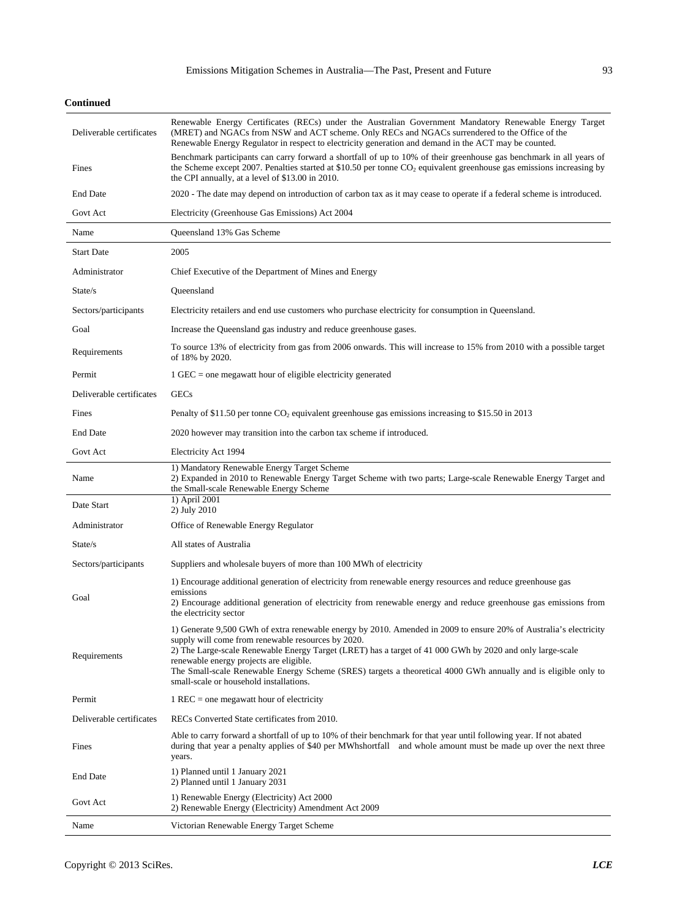| <b>Continued</b> |
|------------------|
|                  |

| Deliverable certificates | Renewable Energy Certificates (RECs) under the Australian Government Mandatory Renewable Energy Target<br>(MRET) and NGACs from NSW and ACT scheme. Only RECs and NGACs surrendered to the Office of the<br>Renewable Energy Regulator in respect to electricity generation and demand in the ACT may be counted.                                                                                                                                                                            |
|--------------------------|----------------------------------------------------------------------------------------------------------------------------------------------------------------------------------------------------------------------------------------------------------------------------------------------------------------------------------------------------------------------------------------------------------------------------------------------------------------------------------------------|
| Fines                    | Benchmark participants can carry forward a shortfall of up to 10% of their greenhouse gas benchmark in all years of<br>the Scheme except 2007. Penalties started at $$10.50$ per tonne CO <sub>2</sub> equivalent greenhouse gas emissions increasing by<br>the CPI annually, at a level of \$13.00 in 2010.                                                                                                                                                                                 |
| <b>End Date</b>          | 2020 - The date may depend on introduction of carbon tax as it may cease to operate if a federal scheme is introduced.                                                                                                                                                                                                                                                                                                                                                                       |
| Govt Act                 | Electricity (Greenhouse Gas Emissions) Act 2004                                                                                                                                                                                                                                                                                                                                                                                                                                              |
| Name                     | Queensland 13% Gas Scheme                                                                                                                                                                                                                                                                                                                                                                                                                                                                    |
| <b>Start Date</b>        | 2005                                                                                                                                                                                                                                                                                                                                                                                                                                                                                         |
| Administrator            | Chief Executive of the Department of Mines and Energy                                                                                                                                                                                                                                                                                                                                                                                                                                        |
| State/s                  | Queensland                                                                                                                                                                                                                                                                                                                                                                                                                                                                                   |
| Sectors/participants     | Electricity retailers and end use customers who purchase electricity for consumption in Queensland.                                                                                                                                                                                                                                                                                                                                                                                          |
| Goal                     | Increase the Queensland gas industry and reduce greenhouse gases.                                                                                                                                                                                                                                                                                                                                                                                                                            |
| Requirements             | To source 13% of electricity from gas from 2006 onwards. This will increase to 15% from 2010 with a possible target<br>of 18% by 2020.                                                                                                                                                                                                                                                                                                                                                       |
| Permit                   | $1$ GEC = one megawatt hour of eligible electricity generated                                                                                                                                                                                                                                                                                                                                                                                                                                |
| Deliverable certificates | <b>GECs</b>                                                                                                                                                                                                                                                                                                                                                                                                                                                                                  |
| Fines                    | Penalty of \$11.50 per tonne CO <sub>2</sub> equivalent greenhouse gas emissions increasing to \$15.50 in 2013                                                                                                                                                                                                                                                                                                                                                                               |
| <b>End Date</b>          | 2020 however may transition into the carbon tax scheme if introduced.                                                                                                                                                                                                                                                                                                                                                                                                                        |
| Govt Act                 | Electricity Act 1994                                                                                                                                                                                                                                                                                                                                                                                                                                                                         |
| Name                     | 1) Mandatory Renewable Energy Target Scheme<br>2) Expanded in 2010 to Renewable Energy Target Scheme with two parts; Large-scale Renewable Energy Target and<br>the Small-scale Renewable Energy Scheme                                                                                                                                                                                                                                                                                      |
| Date Start               | 1) April 2001<br>2) July 2010                                                                                                                                                                                                                                                                                                                                                                                                                                                                |
| Administrator            | Office of Renewable Energy Regulator                                                                                                                                                                                                                                                                                                                                                                                                                                                         |
| State/s                  | All states of Australia                                                                                                                                                                                                                                                                                                                                                                                                                                                                      |
| Sectors/participants     | Suppliers and wholesale buyers of more than 100 MWh of electricity                                                                                                                                                                                                                                                                                                                                                                                                                           |
| Goal                     | 1) Encourage additional generation of electricity from renewable energy resources and reduce greenhouse gas<br>emissions<br>2) Encourage additional generation of electricity from renewable energy and reduce greenhouse gas emissions from<br>the electricity sector                                                                                                                                                                                                                       |
| Requirements             | 1) Generate 9,500 GWh of extra renewable energy by 2010. Amended in 2009 to ensure 20% of Australia's electricity<br>supply will come from renewable resources by 2020.<br>2) The Large-scale Renewable Energy Target (LRET) has a target of 41 000 GWh by 2020 and only large-scale<br>renewable energy projects are eligible.<br>The Small-scale Renewable Energy Scheme (SRES) targets a theoretical 4000 GWh annually and is eligible only to<br>small-scale or household installations. |
| Permit                   | $1$ REC = one megawatt hour of electricity                                                                                                                                                                                                                                                                                                                                                                                                                                                   |
| Deliverable certificates | RECs Converted State certificates from 2010.                                                                                                                                                                                                                                                                                                                                                                                                                                                 |
| Fines                    | Able to carry forward a shortfall of up to 10% of their benchmark for that year until following year. If not abated<br>during that year a penalty applies of \$40 per MWhshortfall and whole amount must be made up over the next three<br>years.                                                                                                                                                                                                                                            |
| <b>End Date</b>          | 1) Planned until 1 January 2021<br>2) Planned until 1 January 2031                                                                                                                                                                                                                                                                                                                                                                                                                           |
| Govt Act                 | 1) Renewable Energy (Electricity) Act 2000<br>2) Renewable Energy (Electricity) Amendment Act 2009                                                                                                                                                                                                                                                                                                                                                                                           |
| Name                     | Victorian Renewable Energy Target Scheme                                                                                                                                                                                                                                                                                                                                                                                                                                                     |